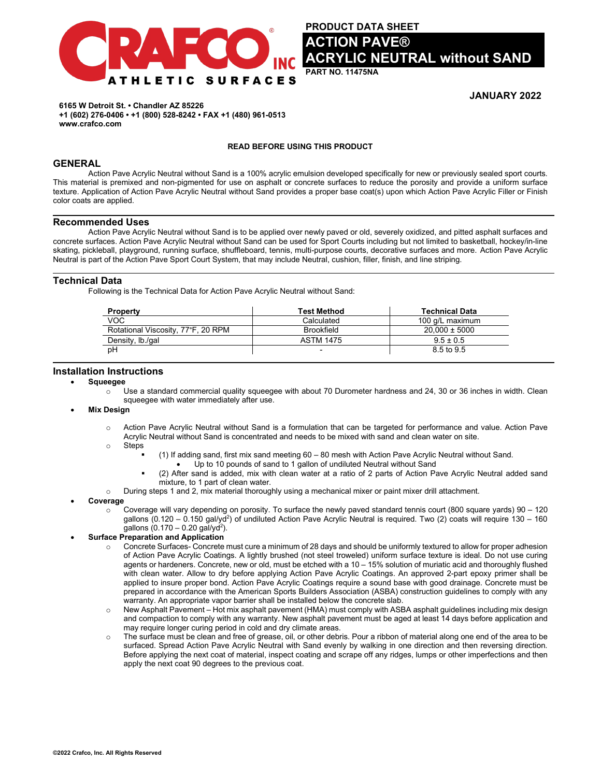

**PRODUCT DATA SHEET ACTION PAVE® AC NEUTRAL without SAND** 

**PART NO. 11475NA**

# **JANUARY 2022**

**6165 W Detroit St. • Chandler AZ 85226 +1 (602) 276-0406 • +1 (800) 528-8242 • FAX +1 (480) 961-0513 www.crafco.com**

#### **READ BEFORE USING THIS PRODUCT**

# **GENERAL**

Action Pave Acrylic Neutral without Sand is a 100% acrylic emulsion developed specifically for new or previously sealed sport courts. This material is premixed and non-pigmented for use on asphalt or concrete surfaces to reduce the porosity and provide a uniform surface texture. Application of Action Pave Acrylic Neutral without Sand provides a proper base coat(s) upon which Action Pave Acrylic Filler or Finish color coats are applied.

#### **Recommended Uses**

Action Pave Acrylic Neutral without Sand is to be applied over newly paved or old, severely oxidized, and pitted asphalt surfaces and concrete surfaces. Action Pave Acrylic Neutral without Sand can be used for Sport Courts including but not limited to basketball, hockey/in-line skating, pickleball, playground, running surface, shuffleboard, tennis, multi-purpose courts, decorative surfaces and more. Action Pave Acrylic Neutral is part of the Action Pave Sport Court System, that may include Neutral, cushion, filler, finish, and line striping.

# **Technical Data**

Following is the Technical Data for Action Pave Acrylic Neutral without Sand:

| <b>Property</b>                    | <b>Test Method</b>       | <b>Technical Data</b> |
|------------------------------------|--------------------------|-----------------------|
| voc                                | Calculated               | 100 g/L maximum       |
| Rotational Viscosity, 77°F, 20 RPM | <b>Brookfield</b>        | $20.000 \pm 5000$     |
| Density, lb./qal                   | <b>ASTM 1475</b>         | $9.5 \pm 0.5$         |
| рH                                 | $\overline{\phantom{0}}$ | 8.5 to 9.5            |

### **Installation Instructions**

- **Squeegee**
	- Use a standard commercial quality squeegee with about 70 Durometer hardness and 24, 30 or 36 inches in width. Clean squeegee with water immediately after use.

#### • **Mix Design**

- $\circ$  Action Pave Acrylic Neutral without Sand is a formulation that can be targeted for performance and value. Action Pave Acrylic Neutral without Sand is concentrated and needs to be mixed with sand and clean water on site.
- o Steps
	- (1) If adding sand, first mix sand meeting 60 80 mesh with Action Pave Acrylic Neutral without Sand.
		- Up to 10 pounds of sand to 1 gallon of undiluted Neutral without Sand
	- (2) After sand is added, mix with clean water at a ratio of 2 parts of Action Pave Acrylic Neutral added sand mixture, to 1 part of clean water.
- o During steps 1 and 2, mix material thoroughly using a mechanical mixer or paint mixer drill attachment.

#### • **Coverage**

 $\circ$  Coverage will vary depending on porosity. To surface the newly paved standard tennis court (800 square yards) 90 – 120 gallons (0.120 – 0.150 gal/yd<sup>2</sup>) of undiluted Action Pave Acrylic Neutral is required. Two (2) coats will require 130 – 160 gallons  $(0.170 - 0.20$  gal/yd<sup>2</sup>).

#### • **Surface Preparation and Application**

- Concrete Surfaces- Concrete must cure a minimum of 28 days and should be uniformly textured to allow for proper adhesion of Action Pave Acrylic Coatings. A lightly brushed (not steel troweled) uniform surface texture is ideal. Do not use curing agents or hardeners. Concrete, new or old, must be etched with a 10 – 15% solution of muriatic acid and thoroughly flushed with clean water. Allow to dry before applying Action Pave Acrylic Coatings. An approved 2-part epoxy primer shall be applied to insure proper bond. Action Pave Acrylic Coatings require a sound base with good drainage. Concrete must be prepared in accordance with the American Sports Builders Association (ASBA) construction guidelines to comply with any warranty. An appropriate vapor barrier shall be installed below the concrete slab.
- o New Asphalt Pavement Hot mix asphalt pavement (HMA) must comply with ASBA asphalt guidelines including mix design and compaction to comply with any warranty. New asphalt pavement must be aged at least 14 days before application and may require longer curing period in cold and dry climate areas.
- o The surface must be clean and free of grease, oil, or other debris. Pour a ribbon of material along one end of the area to be surfaced. Spread Action Pave Acrylic Neutral with Sand evenly by walking in one direction and then reversing direction. Before applying the next coat of material, inspect coating and scrape off any ridges, lumps or other imperfections and then apply the next coat 90 degrees to the previous coat.